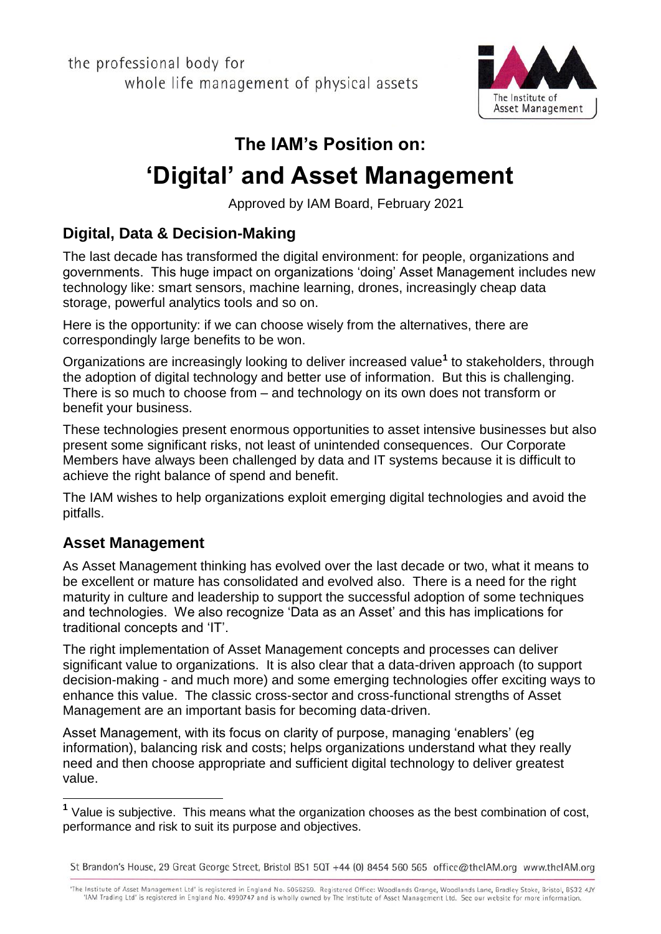the professional body for whole life management of physical assets



# **The IAM's Position on:**

# **'Digital' and Asset Management**

Approved by IAM Board, February 2021

## **Digital, Data & Decision-Making**

The last decade has transformed the digital environment: for people, organizations and governments. This huge impact on organizations 'doing' Asset Management includes new technology like: smart sensors, machine learning, drones, increasingly cheap data storage, powerful analytics tools and so on.

Here is the opportunity: if we can choose wisely from the alternatives, there are correspondingly large benefits to be won.

Organizations are increasingly looking to deliver increased value**<sup>1</sup>** to stakeholders, through the adoption of digital technology and better use of information. But this is challenging. There is so much to choose from – and technology on its own does not transform or benefit your business.

These technologies present enormous opportunities to asset intensive businesses but also present some significant risks, not least of unintended consequences. Our Corporate Members have always been challenged by data and IT systems because it is difficult to achieve the right balance of spend and benefit.

The IAM wishes to help organizations exploit emerging digital technologies and avoid the pitfalls.

#### **Asset Management**

As Asset Management thinking has evolved over the last decade or two, what it means to be excellent or mature has consolidated and evolved also. There is a need for the right maturity in culture and leadership to support the successful adoption of some techniques and technologies. We also recognize 'Data as an Asset' and this has implications for traditional concepts and 'IT'.

The right implementation of Asset Management concepts and processes can deliver significant value to organizations. It is also clear that a data-driven approach (to support decision-making - and much more) and some emerging technologies offer exciting ways to enhance this value. The classic cross-sector and cross-functional strengths of Asset Management are an important basis for becoming data-driven.

Asset Management, with its focus on clarity of purpose, managing 'enablers' (eg information), balancing risk and costs; helps organizations understand what they really need and then choose appropriate and sufficient digital technology to deliver greatest value.

St Brandon's House, 29 Great George Street, Bristol BS1 5QT +44 (0) 8454 560 565 office@thelAM.org www.thelAM.org

"The Institute of Asset Management Ltd' is registered in England No. 5056259. Registered Office: Woodlands Grange, Woodlands Lane, Bradley Stoke, Bristol, BS32 4JY "IAM Trading Ltd" is registered in England No. 4990747 and is wholly owned by The Institute of Asset Management Ltd. See our website for more information.

 **1** Value is subjective. This means what the organization chooses as the best combination of cost, performance and risk to suit its purpose and objectives.